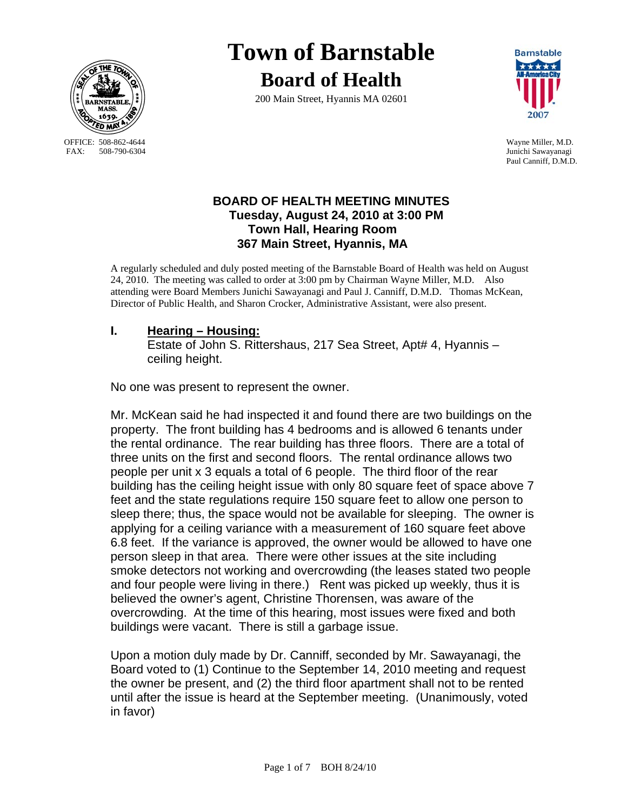

OFFICE: 508-862-4644 Wayne Miller, M.D.<br>
FAX: 508-790-6304 Junichi Sawayanagi

# **Town of Barnstable Board of Health**

200 Main Street, Hyannis MA 02601



Junichi Sawayanagi Paul Canniff, D.M.D.

## **BOARD OF HEALTH MEETING MINUTES Tuesday, August 24, 2010 at 3:00 PM Town Hall, Hearing Room 367 Main Street, Hyannis, MA**

A regularly scheduled and duly posted meeting of the Barnstable Board of Health was held on August 24, 2010. The meeting was called to order at 3:00 pm by Chairman Wayne Miller, M.D. Also attending were Board Members Junichi Sawayanagi and Paul J. Canniff, D.M.D. Thomas McKean, Director of Public Health, and Sharon Crocker, Administrative Assistant, were also present.

## **I. Hearing – Housing:**

 Estate of John S. Rittershaus, 217 Sea Street, Apt# 4, Hyannis – ceiling height.

No one was present to represent the owner.

Mr. McKean said he had inspected it and found there are two buildings on the property. The front building has 4 bedrooms and is allowed 6 tenants under the rental ordinance. The rear building has three floors. There are a total of three units on the first and second floors. The rental ordinance allows two people per unit x 3 equals a total of 6 people. The third floor of the rear building has the ceiling height issue with only 80 square feet of space above 7 feet and the state regulations require 150 square feet to allow one person to sleep there; thus, the space would not be available for sleeping. The owner is applying for a ceiling variance with a measurement of 160 square feet above 6.8 feet. If the variance is approved, the owner would be allowed to have one person sleep in that area. There were other issues at the site including smoke detectors not working and overcrowding (the leases stated two people and four people were living in there.) Rent was picked up weekly, thus it is believed the owner's agent, Christine Thorensen, was aware of the overcrowding. At the time of this hearing, most issues were fixed and both buildings were vacant. There is still a garbage issue.

Upon a motion duly made by Dr. Canniff, seconded by Mr. Sawayanagi, the Board voted to (1) Continue to the September 14, 2010 meeting and request the owner be present, and (2) the third floor apartment shall not to be rented until after the issue is heard at the September meeting. (Unanimously, voted in favor)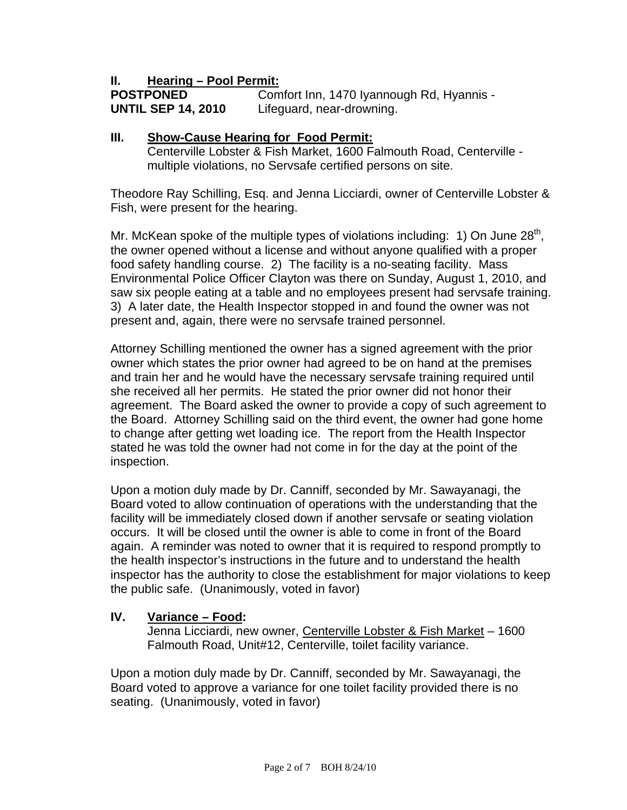## **II. Hearing – Pool Permit:**

**POSTPONED Comfort Inn, 1470 Iyannough Rd, Hyannis -UNTIL SEP 14, 2010** Lifeguard, near-drowning.

#### **III. Show-Cause Hearing for Food Permit:**

 Centerville Lobster & Fish Market, 1600 Falmouth Road, Centerville multiple violations, no Servsafe certified persons on site.

Theodore Ray Schilling, Esq. and Jenna Licciardi, owner of Centerville Lobster & Fish, were present for the hearing.

Mr. McKean spoke of the multiple types of violations including: 1) On June  $28<sup>th</sup>$ , the owner opened without a license and without anyone qualified with a proper food safety handling course. 2) The facility is a no-seating facility. Mass Environmental Police Officer Clayton was there on Sunday, August 1, 2010, and saw six people eating at a table and no employees present had servsafe training. 3) A later date, the Health Inspector stopped in and found the owner was not present and, again, there were no servsafe trained personnel.

Attorney Schilling mentioned the owner has a signed agreement with the prior owner which states the prior owner had agreed to be on hand at the premises and train her and he would have the necessary servsafe training required until she received all her permits. He stated the prior owner did not honor their agreement. The Board asked the owner to provide a copy of such agreement to the Board. Attorney Schilling said on the third event, the owner had gone home to change after getting wet loading ice. The report from the Health Inspector stated he was told the owner had not come in for the day at the point of the inspection.

Upon a motion duly made by Dr. Canniff, seconded by Mr. Sawayanagi, the Board voted to allow continuation of operations with the understanding that the facility will be immediately closed down if another servsafe or seating violation occurs. It will be closed until the owner is able to come in front of the Board again. A reminder was noted to owner that it is required to respond promptly to the health inspector's instructions in the future and to understand the health inspector has the authority to close the establishment for major violations to keep the public safe. (Unanimously, voted in favor)

## **IV. Variance – Food:**

 Jenna Licciardi, new owner, Centerville Lobster & Fish Market – 1600 Falmouth Road, Unit#12, Centerville, toilet facility variance.

Upon a motion duly made by Dr. Canniff, seconded by Mr. Sawayanagi, the Board voted to approve a variance for one toilet facility provided there is no seating. (Unanimously, voted in favor)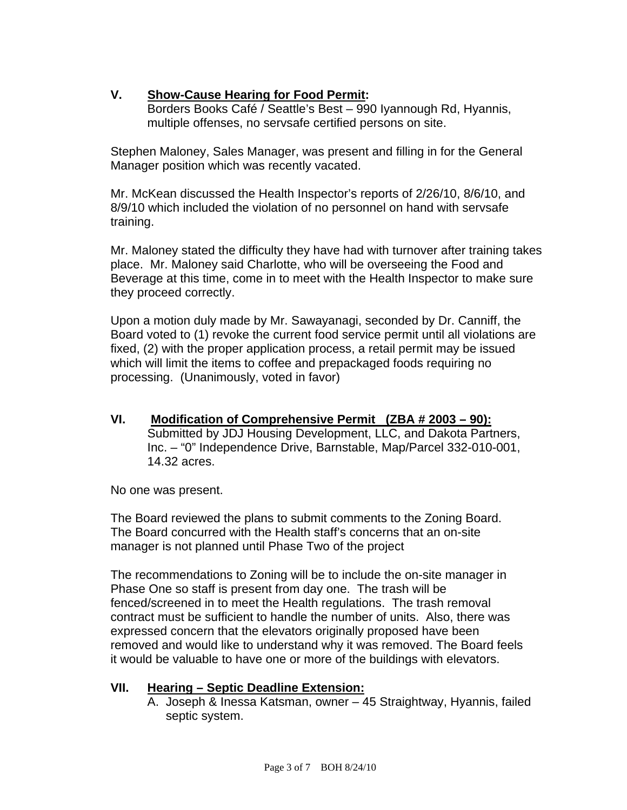# **V. Show-Cause Hearing for Food Permit:**

Borders Books Café / Seattle's Best – 990 Iyannough Rd, Hyannis, multiple offenses, no servsafe certified persons on site.

Stephen Maloney, Sales Manager, was present and filling in for the General Manager position which was recently vacated.

Mr. McKean discussed the Health Inspector's reports of 2/26/10, 8/6/10, and 8/9/10 which included the violation of no personnel on hand with servsafe training.

Mr. Maloney stated the difficulty they have had with turnover after training takes place. Mr. Maloney said Charlotte, who will be overseeing the Food and Beverage at this time, come in to meet with the Health Inspector to make sure they proceed correctly.

Upon a motion duly made by Mr. Sawayanagi, seconded by Dr. Canniff, the Board voted to (1) revoke the current food service permit until all violations are fixed, (2) with the proper application process, a retail permit may be issued which will limit the items to coffee and prepackaged foods requiring no processing. (Unanimously, voted in favor)

**VI. Modification of Comprehensive Permit (ZBA # 2003 – 90):** Submitted by JDJ Housing Development, LLC, and Dakota Partners, Inc. – "0" Independence Drive, Barnstable, Map/Parcel 332-010-001, 14.32 acres.

No one was present.

The Board reviewed the plans to submit comments to the Zoning Board. The Board concurred with the Health staff's concerns that an on-site manager is not planned until Phase Two of the project

The recommendations to Zoning will be to include the on-site manager in Phase One so staff is present from day one. The trash will be fenced/screened in to meet the Health regulations. The trash removal contract must be sufficient to handle the number of units. Also, there was expressed concern that the elevators originally proposed have been removed and would like to understand why it was removed. The Board feels it would be valuable to have one or more of the buildings with elevators.

# **VII. Hearing – Septic Deadline Extension:**

A. Joseph & Inessa Katsman, owner – 45 Straightway, Hyannis, failed septic system.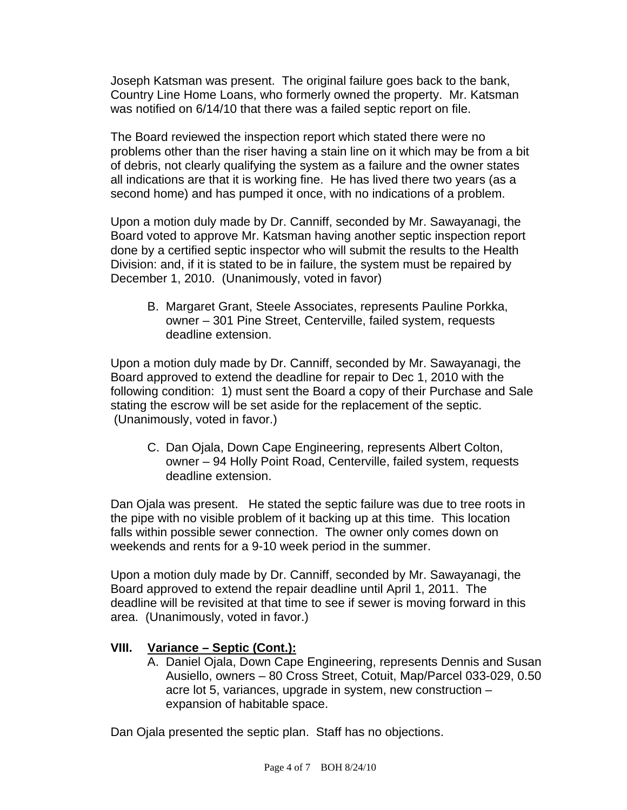Joseph Katsman was present. The original failure goes back to the bank, Country Line Home Loans, who formerly owned the property. Mr. Katsman was notified on 6/14/10 that there was a failed septic report on file.

The Board reviewed the inspection report which stated there were no problems other than the riser having a stain line on it which may be from a bit of debris, not clearly qualifying the system as a failure and the owner states all indications are that it is working fine. He has lived there two years (as a second home) and has pumped it once, with no indications of a problem.

Upon a motion duly made by Dr. Canniff, seconded by Mr. Sawayanagi, the Board voted to approve Mr. Katsman having another septic inspection report done by a certified septic inspector who will submit the results to the Health Division: and, if it is stated to be in failure, the system must be repaired by December 1, 2010. (Unanimously, voted in favor)

B. Margaret Grant, Steele Associates, represents Pauline Porkka, owner – 301 Pine Street, Centerville, failed system, requests deadline extension.

Upon a motion duly made by Dr. Canniff, seconded by Mr. Sawayanagi, the Board approved to extend the deadline for repair to Dec 1, 2010 with the following condition: 1) must sent the Board a copy of their Purchase and Sale stating the escrow will be set aside for the replacement of the septic. (Unanimously, voted in favor.)

C. Dan Ojala, Down Cape Engineering, represents Albert Colton, owner – 94 Holly Point Road, Centerville, failed system, requests deadline extension.

Dan Ojala was present. He stated the septic failure was due to tree roots in the pipe with no visible problem of it backing up at this time. This location falls within possible sewer connection. The owner only comes down on weekends and rents for a 9-10 week period in the summer.

Upon a motion duly made by Dr. Canniff, seconded by Mr. Sawayanagi, the Board approved to extend the repair deadline until April 1, 2011. The deadline will be revisited at that time to see if sewer is moving forward in this area. (Unanimously, voted in favor.)

## **VIII. Variance – Septic (Cont.):**

A. Daniel Ojala, Down Cape Engineering, represents Dennis and Susan Ausiello, owners – 80 Cross Street, Cotuit, Map/Parcel 033-029, 0.50 acre lot 5, variances, upgrade in system, new construction – expansion of habitable space.

Dan Ojala presented the septic plan. Staff has no objections.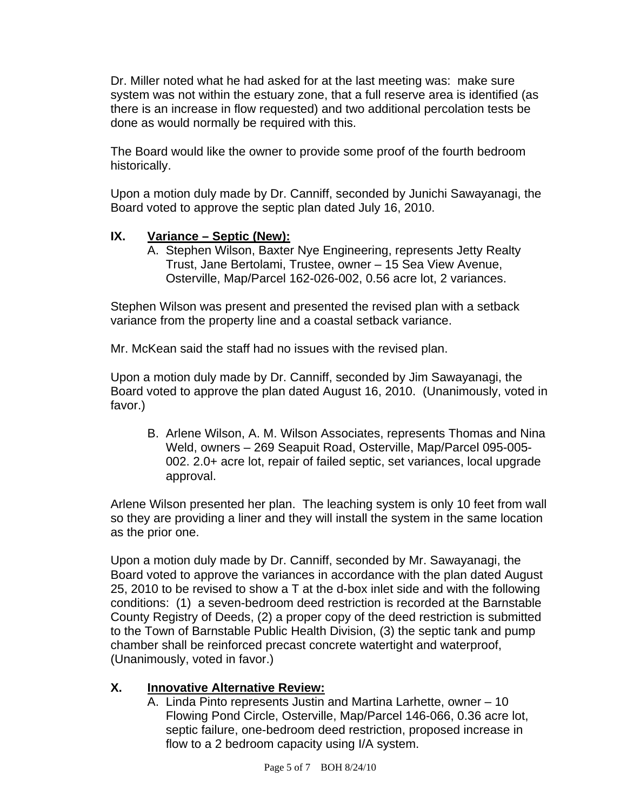Dr. Miller noted what he had asked for at the last meeting was: make sure system was not within the estuary zone, that a full reserve area is identified (as there is an increase in flow requested) and two additional percolation tests be done as would normally be required with this.

The Board would like the owner to provide some proof of the fourth bedroom historically.

Upon a motion duly made by Dr. Canniff, seconded by Junichi Sawayanagi, the Board voted to approve the septic plan dated July 16, 2010.

## **IX. Variance – Septic (New):**

A. Stephen Wilson, Baxter Nye Engineering, represents Jetty Realty Trust, Jane Bertolami, Trustee, owner – 15 Sea View Avenue, Osterville, Map/Parcel 162-026-002, 0.56 acre lot, 2 variances.

Stephen Wilson was present and presented the revised plan with a setback variance from the property line and a coastal setback variance.

Mr. McKean said the staff had no issues with the revised plan.

Upon a motion duly made by Dr. Canniff, seconded by Jim Sawayanagi, the Board voted to approve the plan dated August 16, 2010. (Unanimously, voted in favor.)

B. Arlene Wilson, A. M. Wilson Associates, represents Thomas and Nina Weld, owners – 269 Seapuit Road, Osterville, Map/Parcel 095-005- 002. 2.0+ acre lot, repair of failed septic, set variances, local upgrade approval.

Arlene Wilson presented her plan. The leaching system is only 10 feet from wall so they are providing a liner and they will install the system in the same location as the prior one.

Upon a motion duly made by Dr. Canniff, seconded by Mr. Sawayanagi, the Board voted to approve the variances in accordance with the plan dated August 25, 2010 to be revised to show a T at the d-box inlet side and with the following conditions: (1) a seven-bedroom deed restriction is recorded at the Barnstable County Registry of Deeds, (2) a proper copy of the deed restriction is submitted to the Town of Barnstable Public Health Division, (3) the septic tank and pump chamber shall be reinforced precast concrete watertight and waterproof, (Unanimously, voted in favor.)

# **X. Innovative Alternative Review:**

A. Linda Pinto represents Justin and Martina Larhette, owner – 10 Flowing Pond Circle, Osterville, Map/Parcel 146-066, 0.36 acre lot, septic failure, one-bedroom deed restriction, proposed increase in flow to a 2 bedroom capacity using I/A system.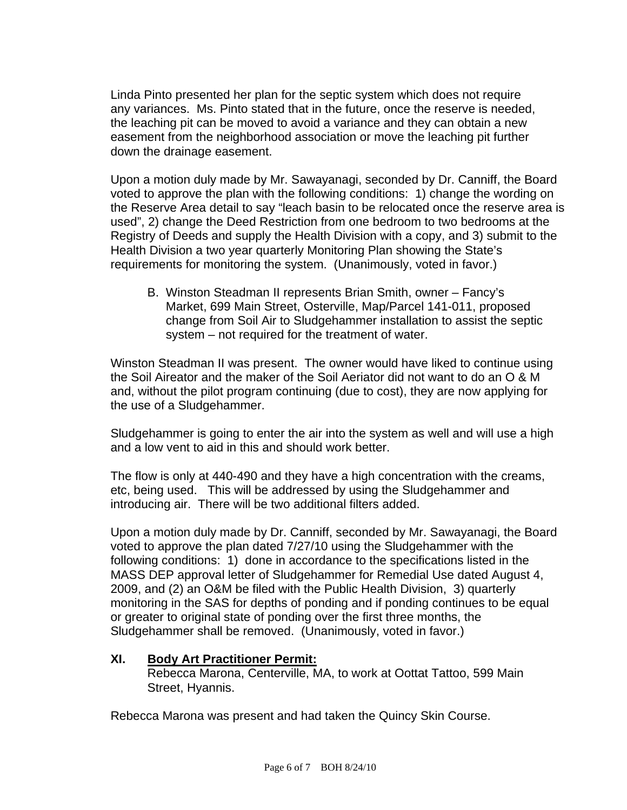Linda Pinto presented her plan for the septic system which does not require any variances. Ms. Pinto stated that in the future, once the reserve is needed, the leaching pit can be moved to avoid a variance and they can obtain a new easement from the neighborhood association or move the leaching pit further down the drainage easement.

Upon a motion duly made by Mr. Sawayanagi, seconded by Dr. Canniff, the Board voted to approve the plan with the following conditions: 1) change the wording on the Reserve Area detail to say "leach basin to be relocated once the reserve area is used", 2) change the Deed Restriction from one bedroom to two bedrooms at the Registry of Deeds and supply the Health Division with a copy, and 3) submit to the Health Division a two year quarterly Monitoring Plan showing the State's requirements for monitoring the system. (Unanimously, voted in favor.)

B. Winston Steadman II represents Brian Smith, owner – Fancy's Market, 699 Main Street, Osterville, Map/Parcel 141-011, proposed change from Soil Air to Sludgehammer installation to assist the septic system – not required for the treatment of water.

Winston Steadman II was present. The owner would have liked to continue using the Soil Aireator and the maker of the Soil Aeriator did not want to do an O & M and, without the pilot program continuing (due to cost), they are now applying for the use of a Sludgehammer.

Sludgehammer is going to enter the air into the system as well and will use a high and a low vent to aid in this and should work better.

The flow is only at 440-490 and they have a high concentration with the creams, etc, being used. This will be addressed by using the Sludgehammer and introducing air. There will be two additional filters added.

Upon a motion duly made by Dr. Canniff, seconded by Mr. Sawayanagi, the Board voted to approve the plan dated 7/27/10 using the Sludgehammer with the following conditions: 1) done in accordance to the specifications listed in the MASS DEP approval letter of Sludgehammer for Remedial Use dated August 4, 2009, and (2) an O&M be filed with the Public Health Division, 3) quarterly monitoring in the SAS for depths of ponding and if ponding continues to be equal or greater to original state of ponding over the first three months, the Sludgehammer shall be removed. (Unanimously, voted in favor.)

## **XI. Body Art Practitioner Permit:**

 Rebecca Marona, Centerville, MA, to work at Oottat Tattoo, 599 Main Street, Hyannis.

Rebecca Marona was present and had taken the Quincy Skin Course.